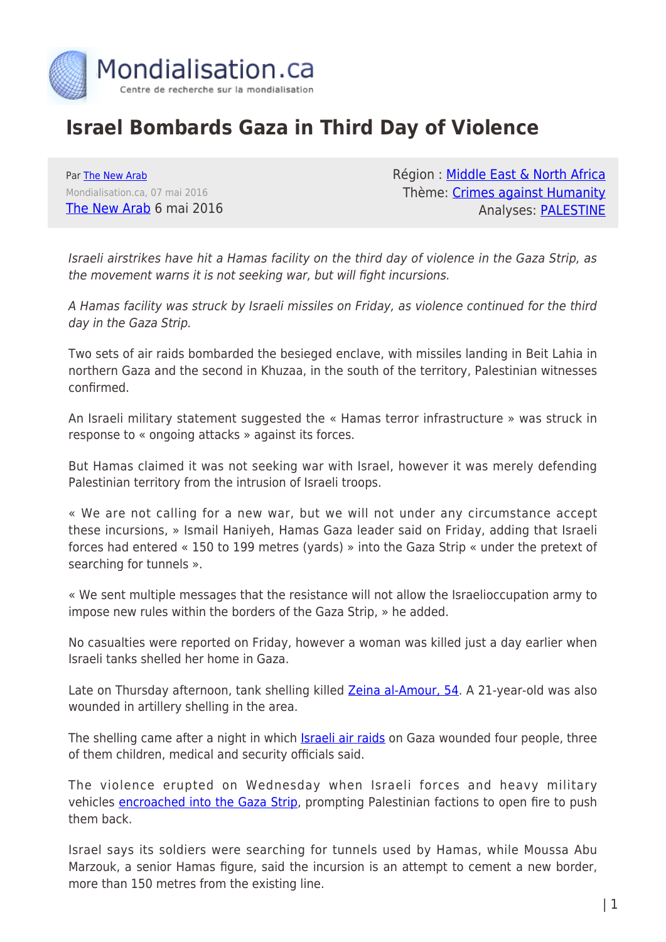

## **Israel Bombards Gaza in Third Day of Violence**

Par [The New Arab](https://www.mondialisation.ca/author/the-new-arab) Mondialisation.ca, 07 mai 2016 [The New Arab](https://www.alaraby.co.uk/english/news/2016/5/6/israel-bombards-gaza-in-third-day-of-violence) 6 mai 2016 Région : [Middle East & North Africa](https://www.mondialisation.ca/region/middle-east) Thème: [Crimes against Humanity](https://www.mondialisation.ca/theme/crimes-against-humanity) Analyses: [PALESTINE](https://www.mondialisation.ca/indepthreport/palestine)

Israeli airstrikes have hit a Hamas facility on the third day of violence in the Gaza Strip, as the movement warns it is not seeking war, but will fight incursions.

A Hamas facility was struck by Israeli missiles on Friday, as violence continued for the third day in the Gaza Strip.

Two sets of air raids bombarded the besieged enclave, with missiles landing in Beit Lahia in northern Gaza and the second in Khuzaa, in the south of the territory, Palestinian witnesses confirmed.

An Israeli military statement suggested the « Hamas terror infrastructure » was struck in response to « ongoing attacks » against its forces.

But Hamas claimed it was not seeking war with Israel, however it was merely defending Palestinian territory from the intrusion of Israeli troops.

« We are not calling for a new war, but we will not under any circumstance accept these incursions, » Ismail Haniyeh, Hamas Gaza leader said on Friday, adding that Israeli forces had entered « 150 to 199 metres (yards) » into the Gaza Strip « under the pretext of searching for tunnels ».

« We sent multiple messages that the resistance will not allow the Israelioccupation army to impose new rules within the borders of the Gaza Strip, » he added.

No casualties were reported on Friday, however a woman was killed just a day earlier when Israeli tanks shelled her home in Gaza.

Late on Thursday afternoon, tank shelling killed [Zeina al-Amour, 54](https://www.alaraby.co.uk/english/news/2016/5/5/palestinian-woman-killed-by-israeli-shelling-on-gaza). A 21-year-old was also wounded in artillery shelling in the area.

The shelling came after a night in which **[Israeli air raids](https://www.alaraby.co.uk/english/news/2016/5/5/israel-launches-fresh-airstrikes-in-gaza)** on Gaza wounded four people, three of them children, medical and security officials said.

The violence erupted on Wednesday when Israeli forces and heavy military vehicles [encroached into the Gaza Strip](https://www.alaraby.co.uk/english/news/2016/5/4/israel-launches-several-air-raids-on-gaza), prompting Palestinian factions to open fire to push them back.

Israel says its soldiers were searching for tunnels used by Hamas, while Moussa Abu Marzouk, a senior Hamas figure, said the incursion is an attempt to cement a new border, more than 150 metres from the existing line.